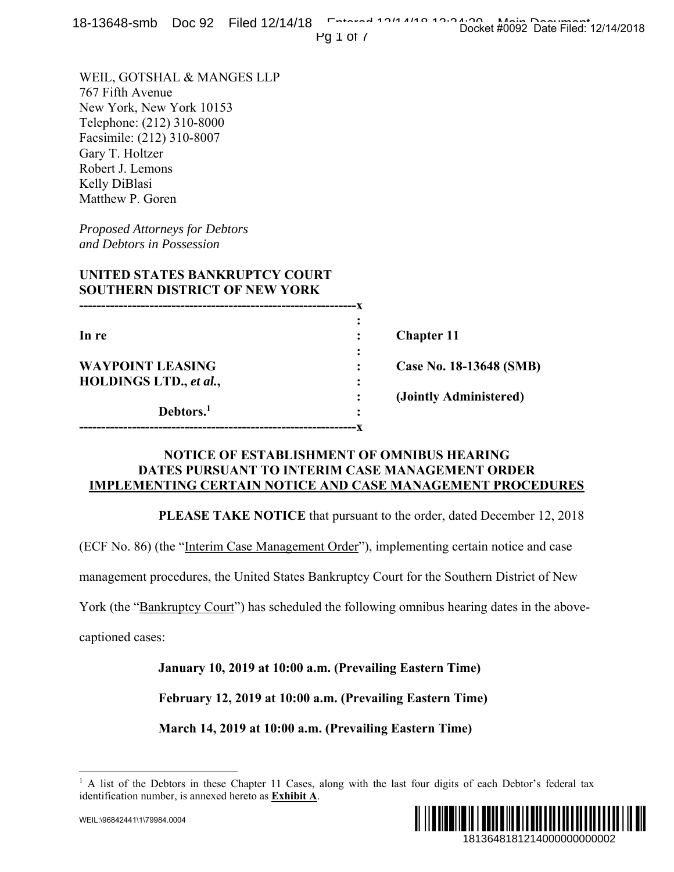|  | 18-13648-smb Doc 92 Filed 12/14/18 Entered 19/14/19 19:04:06:06:14088 Bati 11:04:15 |  | Docket #0092 Date Filed: 12/14/2018 |  |
|--|-------------------------------------------------------------------------------------|--|-------------------------------------|--|
|  | PQ1O1                                                                               |  |                                     |  |

### **UNITED STATES BANKRUPTCY COURT SOUTHERN DISTRICT OF NEW YORK**

| $10-13040$ - $31110$ DUC 32 THEU 12/14/10<br>Pg $1$ of $\prime$                                                                                                                                                  | Docket #0092 Date Filed: 12/14/2018                                           |
|------------------------------------------------------------------------------------------------------------------------------------------------------------------------------------------------------------------|-------------------------------------------------------------------------------|
| WEIL, GOTSHAL & MANGES LLP<br>767 Fifth Avenue<br>New York, New York 10153<br>Telephone: (212) 310-8000<br>Facsimile: (212) 310-8007<br>Gary T. Holtzer<br>Robert J. Lemons<br>Kelly DiBlasi<br>Matthew P. Goren |                                                                               |
| <b>Proposed Attorneys for Debtors</b><br>and Debtors in Possession                                                                                                                                               |                                                                               |
| UNITED STATES BANKRUPTCY COURT<br><b>SOUTHERN DISTRICT OF NEW YORK</b>                                                                                                                                           |                                                                               |
| In re                                                                                                                                                                                                            | <b>Chapter 11</b>                                                             |
| <b>WAYPOINT LEASING</b>                                                                                                                                                                                          | Case No. 18-13648 (SMB)                                                       |
| HOLDINGS LTD., et al.,<br>Debtors. <sup>1</sup>                                                                                                                                                                  | (Jointly Administered)                                                        |
| NOTICE OF ESTABLISHMENT OF OMNIBUS HEARING<br>DATES PURSUANT TO INTERIM CASE MANAGEMENT ORDER<br><b>IMPLEMENTING CERTAIN NOTICE AND CASE MANAGEMENT PROCEDURES</b>                                               |                                                                               |
|                                                                                                                                                                                                                  | <b>PLEASE TAKE NOTICE</b> that pursuant to the order, dated December 12, 2018 |
| (ECF No. 86) (the "Interim Case Management Order"), implementing certain notice and case                                                                                                                         |                                                                               |
| management procedures, the United States Bankruptcy Court for the Southern District of New                                                                                                                       |                                                                               |
| York (the "Bankruptcy Court") has scheduled the following omnibus hearing dates in the above-                                                                                                                    |                                                                               |
| captioned cases:                                                                                                                                                                                                 |                                                                               |
| January 10, 2019 at 10:00 a.m. (Prevailing Eastern Time)                                                                                                                                                         |                                                                               |
| February 12, 2019 at 10:00 a.m. (Prevailing Eastern Time)                                                                                                                                                        |                                                                               |
| March 14, 2019 at 10:00 a.m. (Prevailing Eastern Time)                                                                                                                                                           |                                                                               |
| <sup>1</sup> A list of the Debtors in these Chapter 11 Cases, along with the last four digits of each Debtor's federal tax<br>identification number, is annexed hereto as Exhibit A.                             |                                                                               |
| WEIL:\96842441\1\79984.0004                                                                                                                                                                                      | 1813648181214000000000002                                                     |

### **NOTICE OF ESTABLISHMENT OF OMNIBUS HEARING DATES PURSUANT TO INTERIM CASE MANAGEMENT ORDER IMPLEMENTING CERTAIN NOTICE AND CASE MANAGEMENT PROCEDURES**

 $\overline{a}$ <sup>1</sup> A list of the Debtors in these Chapter 11 Cases, along with the last four digits of each Debtor's federal tax identification number, is annexed hereto as **Exhibit A**.

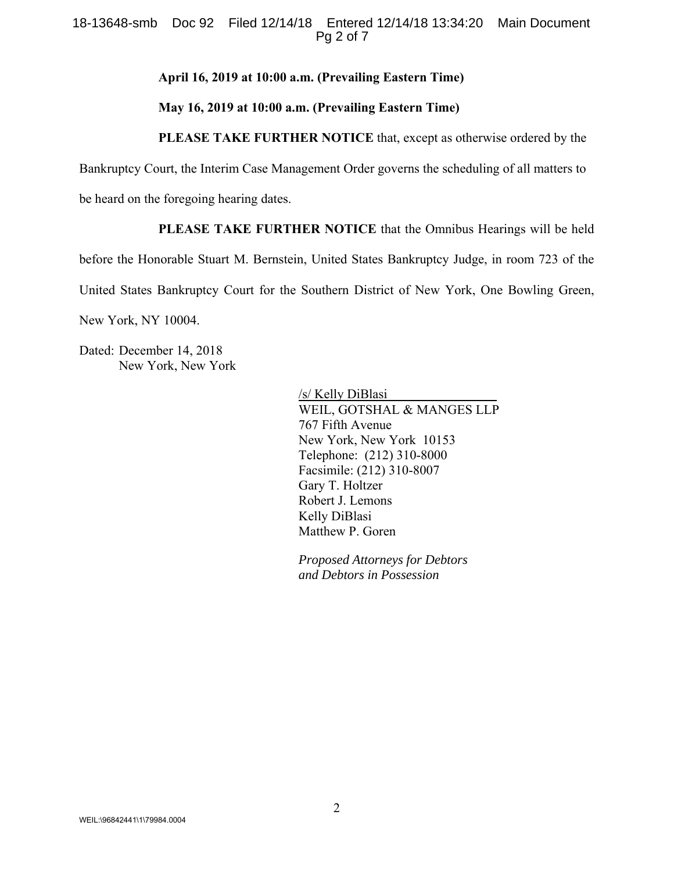#### 18-13648-smb Doc 92 Filed 12/14/18 Entered 12/14/18 13:34:20 Main Document Pg 2 of 7

#### **April 16, 2019 at 10:00 a.m. (Prevailing Eastern Time)**

#### **May 16, 2019 at 10:00 a.m. (Prevailing Eastern Time)**

#### **PLEASE TAKE FURTHER NOTICE** that, except as otherwise ordered by the

Bankruptcy Court, the Interim Case Management Order governs the scheduling of all matters to

be heard on the foregoing hearing dates.

### **PLEASE TAKE FURTHER NOTICE** that the Omnibus Hearings will be held

before the Honorable Stuart M. Bernstein, United States Bankruptcy Judge, in room 723 of the

United States Bankruptcy Court for the Southern District of New York, One Bowling Green,

New York, NY 10004.

Dated: December 14, 2018 New York, New York

> /s/ Kelly DiBlasi WEIL, GOTSHAL & MANGES LLP 767 Fifth Avenue New York, New York 10153 Telephone: (212) 310-8000 Facsimile: (212) 310-8007 Gary T. Holtzer Robert J. Lemons Kelly DiBlasi Matthew P. Goren

*Proposed Attorneys for Debtors and Debtors in Possession*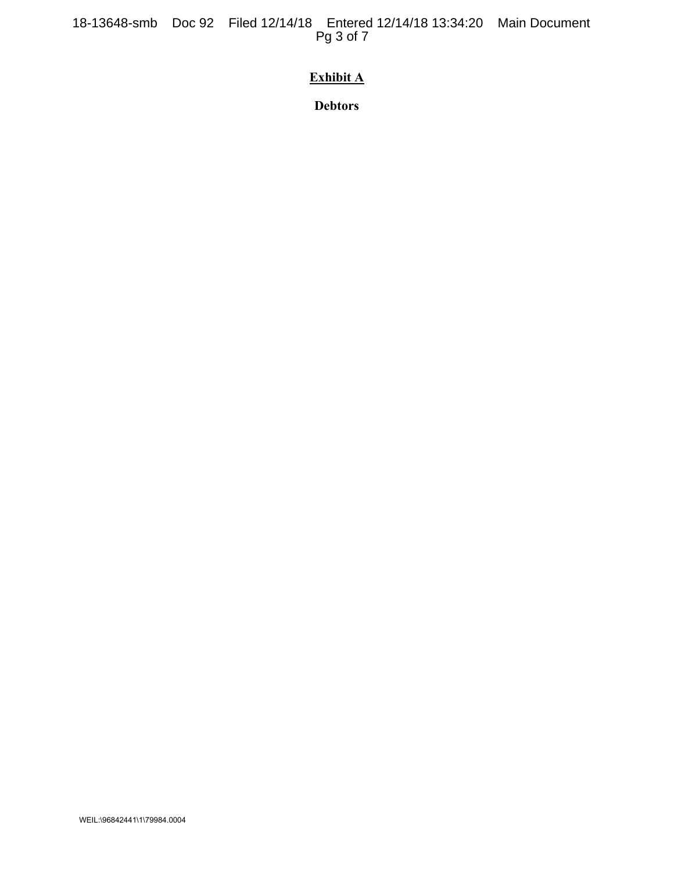18-13648-smb Doc 92 Filed 12/14/18 Entered 12/14/18 13:34:20 Main Document Pg 3 of 7

# **Exhibit A**

**Debtors**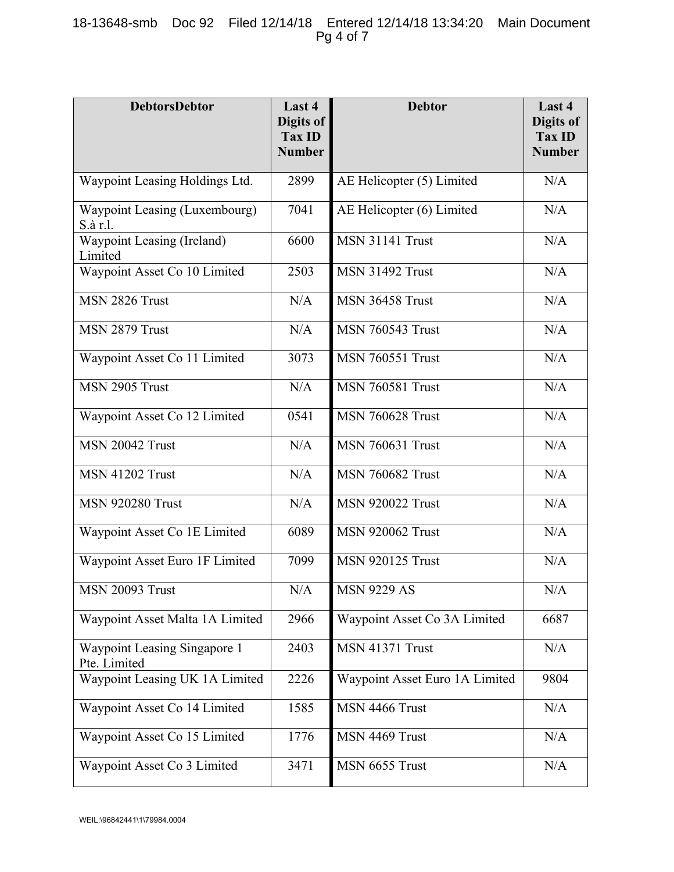### 18-13648-smb Doc 92 Filed 12/14/18 Entered 12/14/18 13:34:20 Main Document Pg 4 of 7

| <b>DebtorsDebtor</b>                         | Last 4<br>Digits of<br><b>Tax ID</b><br><b>Number</b> | <b>Debtor</b>                  | Last 4<br>Digits of<br><b>Tax ID</b><br><b>Number</b> |
|----------------------------------------------|-------------------------------------------------------|--------------------------------|-------------------------------------------------------|
| Waypoint Leasing Holdings Ltd.               | 2899                                                  | AE Helicopter (5) Limited      | N/A                                                   |
| Waypoint Leasing (Luxembourg)<br>S.à r.l.    | 7041                                                  | AE Helicopter (6) Limited      | N/A                                                   |
| Waypoint Leasing (Ireland)<br>Limited        | 6600                                                  | MSN 31141 Trust                | N/A                                                   |
| Waypoint Asset Co 10 Limited                 | 2503                                                  | <b>MSN 31492 Trust</b>         | N/A                                                   |
| MSN 2826 Trust                               | N/A                                                   | <b>MSN 36458 Trust</b>         | N/A                                                   |
| MSN 2879 Trust                               | N/A                                                   | <b>MSN 760543 Trust</b>        | N/A                                                   |
| Waypoint Asset Co 11 Limited                 | 3073                                                  | <b>MSN 760551 Trust</b>        | N/A                                                   |
| MSN 2905 Trust                               | N/A                                                   | <b>MSN 760581 Trust</b>        | N/A                                                   |
| Waypoint Asset Co 12 Limited                 | 0541                                                  | <b>MSN 760628 Trust</b>        | N/A                                                   |
| MSN 20042 Trust                              | N/A                                                   | <b>MSN 760631 Trust</b>        | N/A                                                   |
| <b>MSN 41202 Trust</b>                       | N/A                                                   | <b>MSN 760682 Trust</b>        | N/A                                                   |
| <b>MSN 920280 Trust</b>                      | N/A                                                   | <b>MSN 920022 Trust</b>        | N/A                                                   |
| Waypoint Asset Co 1E Limited                 | 6089                                                  | <b>MSN 920062 Trust</b>        | N/A                                                   |
| Waypoint Asset Euro 1F Limited               | 7099                                                  | <b>MSN 920125 Trust</b>        | N/A                                                   |
| <b>MSN 20093 Trust</b>                       | N/A                                                   | <b>MSN 9229 AS</b>             | N/A                                                   |
| Waypoint Asset Malta 1A Limited              | 2966                                                  | Waypoint Asset Co 3A Limited   | 6687                                                  |
| Waypoint Leasing Singapore 1<br>Pte. Limited | 2403                                                  | MSN 41371 Trust                | N/A                                                   |
| Waypoint Leasing UK 1A Limited               | 2226                                                  | Waypoint Asset Euro 1A Limited | 9804                                                  |
| Waypoint Asset Co 14 Limited                 | 1585                                                  | MSN 4466 Trust                 | N/A                                                   |
| Waypoint Asset Co 15 Limited                 | 1776                                                  | MSN 4469 Trust                 | N/A                                                   |
| Waypoint Asset Co 3 Limited                  | 3471                                                  | MSN 6655 Trust                 | N/A                                                   |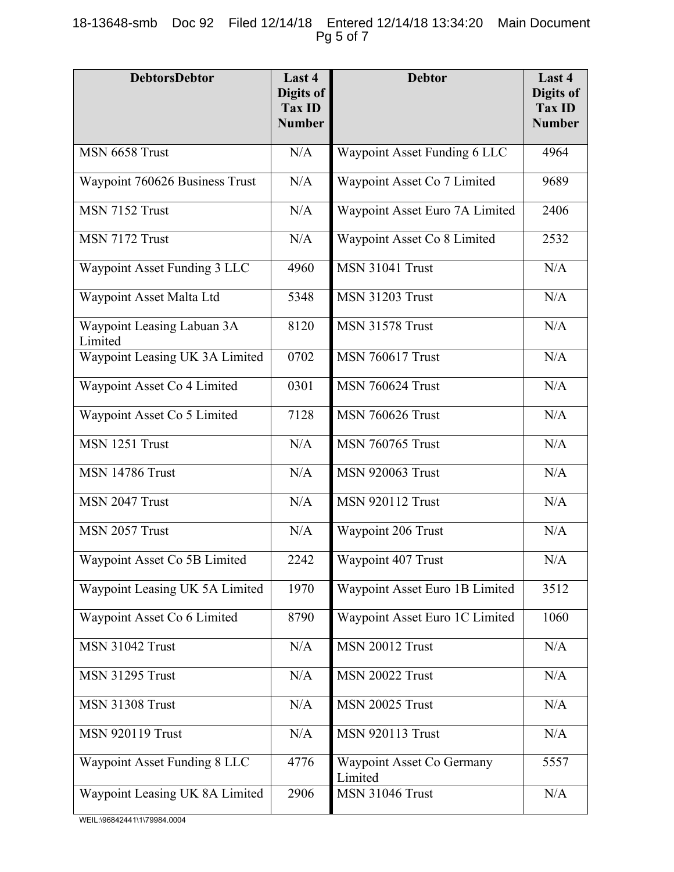# 18-13648-smb Doc 92 Filed 12/14/18 Entered 12/14/18 13:34:20 Main Document Pg 5 of 7

| <b>DebtorsDebtor</b>                  | Last 4<br>Digits of<br>Tax ID<br><b>Number</b> | <b>Debtor</b>                        | Last 4<br>Digits of<br><b>Tax ID</b><br><b>Number</b> |
|---------------------------------------|------------------------------------------------|--------------------------------------|-------------------------------------------------------|
| MSN 6658 Trust                        | N/A                                            | Waypoint Asset Funding 6 LLC         | 4964                                                  |
| Waypoint 760626 Business Trust        | N/A                                            | Waypoint Asset Co 7 Limited          | 9689                                                  |
| MSN 7152 Trust                        | N/A                                            | Waypoint Asset Euro 7A Limited       | 2406                                                  |
| MSN 7172 Trust                        | N/A                                            | Waypoint Asset Co 8 Limited          | 2532                                                  |
| Waypoint Asset Funding 3 LLC          | 4960                                           | <b>MSN 31041 Trust</b>               | N/A                                                   |
| Waypoint Asset Malta Ltd              | 5348                                           | <b>MSN 31203 Trust</b>               | N/A                                                   |
| Waypoint Leasing Labuan 3A<br>Limited | 8120                                           | <b>MSN 31578 Trust</b>               | N/A                                                   |
| Waypoint Leasing UK 3A Limited        | 0702                                           | <b>MSN 760617 Trust</b>              | N/A                                                   |
| Waypoint Asset Co 4 Limited           | 0301                                           | <b>MSN 760624 Trust</b>              | N/A                                                   |
| Waypoint Asset Co 5 Limited           | 7128                                           | <b>MSN 760626 Trust</b>              | N/A                                                   |
| MSN 1251 Trust                        | N/A                                            | <b>MSN 760765 Trust</b>              | N/A                                                   |
| <b>MSN 14786 Trust</b>                | N/A                                            | <b>MSN 920063 Trust</b>              | N/A                                                   |
| MSN 2047 Trust                        | N/A                                            | <b>MSN 920112 Trust</b>              | N/A                                                   |
| MSN 2057 Trust                        | N/A                                            | Waypoint 206 Trust                   | N/A                                                   |
| Waypoint Asset Co 5B Limited          | 2242                                           | Waypoint 407 Trust                   | N/A                                                   |
| Waypoint Leasing UK 5A Limited        | 1970                                           | Waypoint Asset Euro 1B Limited       | 3512                                                  |
| Waypoint Asset Co 6 Limited           | 8790                                           | Waypoint Asset Euro 1C Limited       | 1060                                                  |
| <b>MSN 31042 Trust</b>                | N/A                                            | <b>MSN 20012 Trust</b>               | N/A                                                   |
| <b>MSN 31295 Trust</b>                | N/A                                            | <b>MSN 20022 Trust</b>               | N/A                                                   |
| <b>MSN 31308 Trust</b>                | N/A                                            | <b>MSN 20025 Trust</b>               | N/A                                                   |
| <b>MSN 920119 Trust</b>               | N/A                                            | <b>MSN 920113 Trust</b>              | N/A                                                   |
| Waypoint Asset Funding 8 LLC          | 4776                                           | Waypoint Asset Co Germany<br>Limited | 5557                                                  |
| Waypoint Leasing UK 8A Limited        | 2906                                           | <b>MSN 31046 Trust</b>               | N/A                                                   |

WEIL:\96842441\1\79984.0004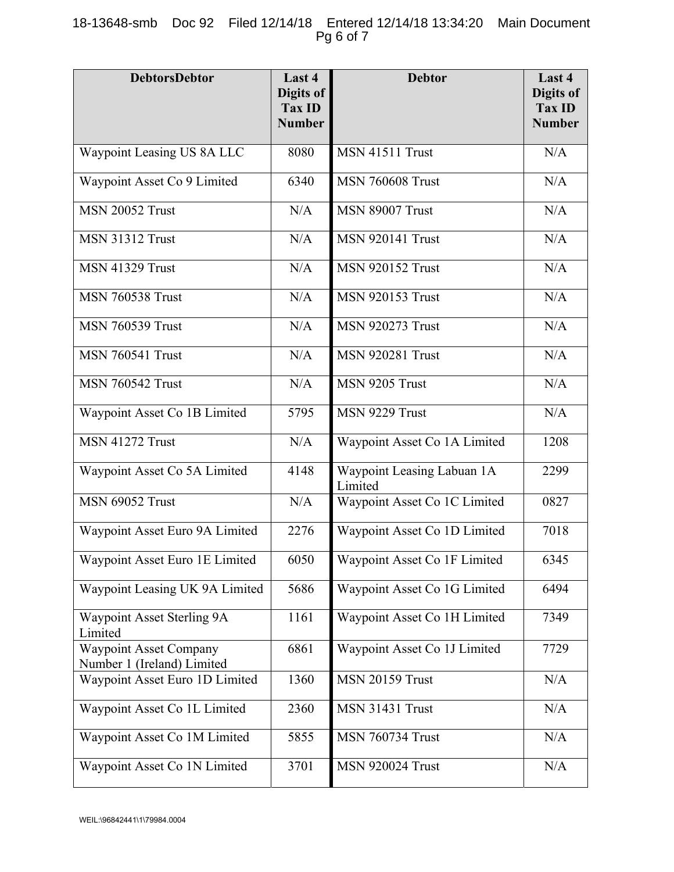# 18-13648-smb Doc 92 Filed 12/14/18 Entered 12/14/18 13:34:20 Main Document Pg 6 of 7

| <b>DebtorsDebtor</b>                                        | Last 4<br>Digits of<br>Tax ID<br><b>Number</b> | <b>Debtor</b>                         | Last 4<br>Digits of<br><b>Tax ID</b><br><b>Number</b> |
|-------------------------------------------------------------|------------------------------------------------|---------------------------------------|-------------------------------------------------------|
| Waypoint Leasing US 8A LLC                                  | 8080                                           | MSN 41511 Trust                       | N/A                                                   |
| Waypoint Asset Co 9 Limited                                 | 6340                                           | <b>MSN 760608 Trust</b>               | N/A                                                   |
| <b>MSN 20052 Trust</b>                                      | N/A                                            | <b>MSN 89007 Trust</b>                | N/A                                                   |
| <b>MSN 31312 Trust</b>                                      | N/A                                            | <b>MSN 920141 Trust</b>               | N/A                                                   |
| <b>MSN 41329 Trust</b>                                      | N/A                                            | <b>MSN 920152 Trust</b>               | N/A                                                   |
| <b>MSN 760538 Trust</b>                                     | N/A                                            | <b>MSN 920153 Trust</b>               | N/A                                                   |
| <b>MSN 760539 Trust</b>                                     | N/A                                            | <b>MSN 920273 Trust</b>               | N/A                                                   |
| <b>MSN 760541 Trust</b>                                     | N/A                                            | <b>MSN 920281 Trust</b>               | N/A                                                   |
| <b>MSN 760542 Trust</b>                                     | N/A                                            | MSN 9205 Trust                        | N/A                                                   |
| Waypoint Asset Co 1B Limited                                | 5795                                           | MSN 9229 Trust                        | N/A                                                   |
| <b>MSN 41272 Trust</b>                                      | N/A                                            | Waypoint Asset Co 1A Limited          | 1208                                                  |
| Waypoint Asset Co 5A Limited                                | 4148                                           | Waypoint Leasing Labuan 1A<br>Limited | 2299                                                  |
| <b>MSN 69052 Trust</b>                                      | N/A                                            | Waypoint Asset Co 1C Limited          | 0827                                                  |
| Waypoint Asset Euro 9A Limited                              | 2276                                           | Waypoint Asset Co 1D Limited          | 7018                                                  |
| Waypoint Asset Euro 1E Limited                              | 6050                                           | Waypoint Asset Co 1F Limited          | 6345                                                  |
| Waypoint Leasing UK 9A Limited                              | 5686                                           | Waypoint Asset Co 1G Limited          | 6494                                                  |
| Waypoint Asset Sterling 9A<br>Limited                       | 1161                                           | Waypoint Asset Co 1H Limited          | 7349                                                  |
| <b>Waypoint Asset Company</b><br>Number 1 (Ireland) Limited | 6861                                           | Waypoint Asset Co 1J Limited          | 7729                                                  |
| Waypoint Asset Euro 1D Limited                              | 1360                                           | <b>MSN 20159 Trust</b>                | N/A                                                   |
| Waypoint Asset Co 1L Limited                                | 2360                                           | <b>MSN 31431 Trust</b>                | N/A                                                   |
| Waypoint Asset Co 1M Limited                                | 5855                                           | <b>MSN 760734 Trust</b>               | N/A                                                   |
| Waypoint Asset Co 1N Limited                                | 3701                                           | <b>MSN 920024 Trust</b>               | N/A                                                   |